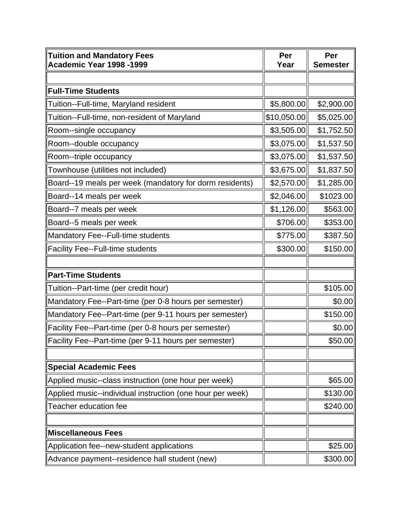| <b>Tuition and Mandatory Fees</b><br>Academic Year 1998 -1999 | Per<br>Year | Per<br><b>Semester</b> |
|---------------------------------------------------------------|-------------|------------------------|
|                                                               |             |                        |
| <b>Full-Time Students</b>                                     |             |                        |
| Tuition--Full-time, Maryland resident                         | \$5,800.00  | \$2,900.00             |
| Tuition--Full-time, non-resident of Maryland                  | \$10,050.00 | \$5,025.00             |
| Room--single occupancy                                        | \$3,505.00  | \$1,752.50             |
| Room--double occupancy                                        | \$3,075.00  | \$1,537.50             |
| Room--triple occupancy                                        | \$3,075.00  | \$1,537.50             |
| Townhouse (utilities not included)                            | \$3,675.00  | \$1,837.50             |
| Board--19 meals per week (mandatory for dorm residents)       | \$2,570.00  | \$1,285.00             |
| Board--14 meals per week                                      | \$2,046.00  | \$1023.00              |
| Board--7 meals per week                                       | \$1,126.00  | \$563.00               |
| Board--5 meals per week                                       | \$706.00    | \$353.00               |
| Mandatory Fee--Full-time students                             | \$775.00    | \$387.50               |
| <b>Facility Fee--Full-time students</b>                       | \$300.00    | \$150.00               |
|                                                               |             |                        |
| <b>Part-Time Students</b>                                     |             |                        |
| Tuition--Part-time (per credit hour)                          |             | \$105.00               |
| Mandatory Fee--Part-time (per 0-8 hours per semester)         |             | \$0.00                 |
| Mandatory Fee--Part-time (per 9-11 hours per semester)        |             | \$150.00               |
| Facility Fee--Part-time (per 0-8 hours per semester)          |             | \$0.00                 |
| Facility Fee--Part-time (per 9-11 hours per semester)         |             | \$50.00                |
|                                                               |             |                        |
| <b>Special Academic Fees</b>                                  |             |                        |
| Applied music--class instruction (one hour per week)          |             | \$65.00                |
| Applied music--individual instruction (one hour per week)     |             | \$130.00               |
| Teacher education fee                                         |             | \$240.00               |
|                                                               |             |                        |
| <b>Miscellaneous Fees</b>                                     |             |                        |
| Application fee--new-student applications                     |             | \$25.00                |
| Advance payment--residence hall student (new)                 |             | \$300.00               |